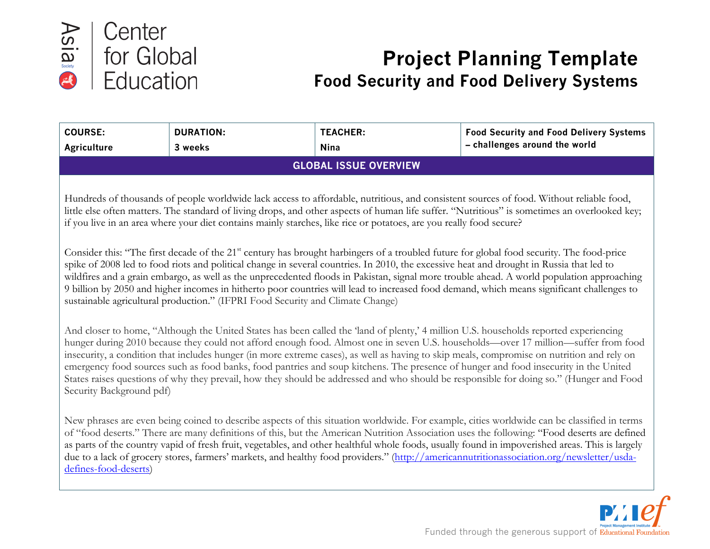

# **Project Planning Template Food Security and Food Delivery Systems**

| <b>COURSE:</b>                                                                                                                                                                                                                                                                                                                                                                                                                                                                                                                                                                                                                                                                                                                           | <b>DURATION:</b>             | <b>TEACHER:</b> | <b>Food Security and Food Delivery Systems</b>                                                                                                                                                                                                                                                                                                                                                                                                                                                                                                                                             |  |  |
|------------------------------------------------------------------------------------------------------------------------------------------------------------------------------------------------------------------------------------------------------------------------------------------------------------------------------------------------------------------------------------------------------------------------------------------------------------------------------------------------------------------------------------------------------------------------------------------------------------------------------------------------------------------------------------------------------------------------------------------|------------------------------|-----------------|--------------------------------------------------------------------------------------------------------------------------------------------------------------------------------------------------------------------------------------------------------------------------------------------------------------------------------------------------------------------------------------------------------------------------------------------------------------------------------------------------------------------------------------------------------------------------------------------|--|--|
| <b>Agriculture</b>                                                                                                                                                                                                                                                                                                                                                                                                                                                                                                                                                                                                                                                                                                                       | 3 weeks                      | <b>Nina</b>     | - challenges around the world                                                                                                                                                                                                                                                                                                                                                                                                                                                                                                                                                              |  |  |
|                                                                                                                                                                                                                                                                                                                                                                                                                                                                                                                                                                                                                                                                                                                                          | <b>GLOBAL ISSUE OVERVIEW</b> |                 |                                                                                                                                                                                                                                                                                                                                                                                                                                                                                                                                                                                            |  |  |
| Hundreds of thousands of people worldwide lack access to affordable, nutritious, and consistent sources of food. Without reliable food,<br>little else often matters. The standard of living drops, and other aspects of human life suffer. "Nutritious" is sometimes an overlooked key;<br>if you live in an area where your diet contains mainly starches, like rice or potatoes, are you really food secure?                                                                                                                                                                                                                                                                                                                          |                              |                 |                                                                                                                                                                                                                                                                                                                                                                                                                                                                                                                                                                                            |  |  |
| Consider this: "The first decade of the 21 <sup>st</sup> century has brought harbingers of a troubled future for global food security. The food-price<br>spike of 2008 led to food riots and political change in several countries. In 2010, the excessive heat and drought in Russia that led to<br>wildfires and a grain embargo, as well as the unprecedented floods in Pakistan, signal more trouble ahead. A world population approaching<br>9 billion by 2050 and higher incomes in hitherto poor countries will lead to increased food demand, which means significant challenges to<br>sustainable agricultural production." (IFPRI Food Security and Climate Change)                                                            |                              |                 |                                                                                                                                                                                                                                                                                                                                                                                                                                                                                                                                                                                            |  |  |
| And closer to home, "Although the United States has been called the 'land of plenty,' 4 million U.S. households reported experiencing<br>hunger during 2010 because they could not afford enough food. Almost one in seven U.S. households—over 17 million—suffer from food<br>insecurity, a condition that includes hunger (in more extreme cases), as well as having to skip meals, compromise on nutrition and rely on<br>emergency food sources such as food banks, food pantries and soup kitchens. The presence of hunger and food insecurity in the United<br>States raises questions of why they prevail, how they should be addressed and who should be responsible for doing so." (Hunger and Food<br>Security Background pdf) |                              |                 |                                                                                                                                                                                                                                                                                                                                                                                                                                                                                                                                                                                            |  |  |
| defines-food-deserts)                                                                                                                                                                                                                                                                                                                                                                                                                                                                                                                                                                                                                                                                                                                    |                              |                 | New phrases are even being coined to describe aspects of this situation worldwide. For example, cities worldwide can be classified in terms<br>of "food deserts." There are many definitions of this, but the American Nutrition Association uses the following: "Food deserts are defined<br>as parts of the country vapid of fresh fruit, vegetables, and other healthful whole foods, usually found in impoverished areas. This is largely<br>due to a lack of grocery stores, farmers' markets, and healthy food providers." (http://americannutritionassociation.org/newsletter/usda- |  |  |

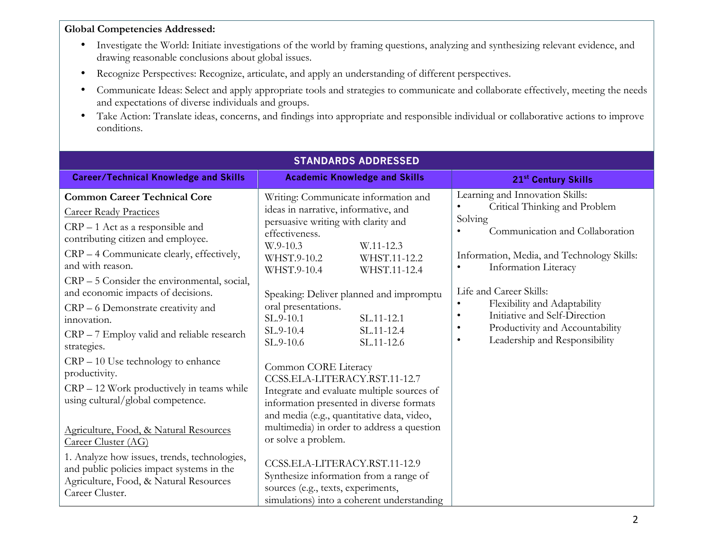#### **Global Competencies Addressed:**

- Investigate the World: Initiate investigations of the world by framing questions, analyzing and synthesizing relevant evidence, and drawing reasonable conclusions about global issues.
- Recognize Perspectives: Recognize, articulate, and apply an understanding of different perspectives.
- Communicate Ideas: Select and apply appropriate tools and strategies to communicate and collaborate effectively, meeting the needs and expectations of diverse individuals and groups.
- Take Action: Translate ideas, concerns, and findings into appropriate and responsible individual or collaborative actions to improve conditions.

| <b>STANDARDS ADDRESSED</b>                                                                                                                             |                                                                                                                                                                |                                                                                                                    |  |  |
|--------------------------------------------------------------------------------------------------------------------------------------------------------|----------------------------------------------------------------------------------------------------------------------------------------------------------------|--------------------------------------------------------------------------------------------------------------------|--|--|
| <b>Career/Technical Knowledge and Skills</b>                                                                                                           | <b>Academic Knowledge and Skills</b>                                                                                                                           | 21st Century Skills                                                                                                |  |  |
| <b>Common Career Technical Core</b><br><b>Career Ready Practices</b><br>$CRP - 1$ Act as a responsible and<br>contributing citizen and employee.       | Writing: Communicate information and<br>ideas in narrative, informative, and<br>persuasive writing with clarity and<br>effectiveness.<br>W.9-10.3<br>W.11-12.3 | Learning and Innovation Skills:<br>Critical Thinking and Problem<br>Solving<br>Communication and Collaboration     |  |  |
| CRP – 4 Communicate clearly, effectively,<br>and with reason.<br>CRP - 5 Consider the environmental, social,                                           | WHST.11-12.2<br>WHST.9-10.2<br>WHST.9-10.4<br>WHST.11-12.4                                                                                                     | Information, Media, and Technology Skills:<br>Information Literacy<br>$\bullet$                                    |  |  |
| and economic impacts of decisions.<br>CRP – 6 Demonstrate creativity and<br>innovation.                                                                | Speaking: Deliver planned and impromptu<br>oral presentations.<br>SL.9-10.1<br>SL.11-12.1                                                                      | Life and Career Skills:<br>Flexibility and Adaptability<br>$\bullet$<br>Initiative and Self-Direction<br>$\bullet$ |  |  |
| CRP - 7 Employ valid and reliable research<br>strategies.                                                                                              | SL.9-10.4<br>SL.11-12.4<br>SL.9-10.6<br>SL.11-12.6                                                                                                             | Productivity and Accountability<br>$\bullet$<br>Leadership and Responsibility<br>$\bullet$                         |  |  |
| $CRP - 10$ Use technology to enhance<br>productivity.<br>CRP – 12 Work productively in teams while<br>using cultural/global competence.                | Common CORE Literacy<br>CCSS.ELA-LITERACY.RST.11-12.7<br>Integrate and evaluate multiple sources of                                                            |                                                                                                                    |  |  |
| Agriculture, Food, & Natural Resources<br>Career Cluster (AG)                                                                                          | information presented in diverse formats<br>and media (e.g., quantitative data, video,<br>multimedia) in order to address a question<br>or solve a problem.    |                                                                                                                    |  |  |
| 1. Analyze how issues, trends, technologies,<br>and public policies impact systems in the<br>Agriculture, Food, & Natural Resources<br>Career Cluster. | CCSS.ELA-LITERACY.RST.11-12.9<br>Synthesize information from a range of<br>sources (e.g., texts, experiments,<br>simulations) into a coherent understanding    |                                                                                                                    |  |  |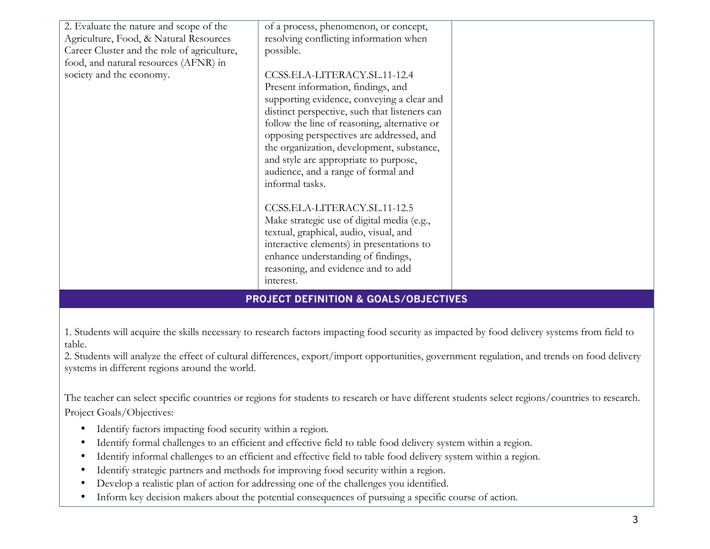| 2. Evaluate the nature and scope of the<br>Agriculture, Food, & Natural Resources<br>Career Cluster and the role of agriculture,<br>food, and natural resources (AFNR) in<br>society and the economy. | of a process, phenomenon, or concept,<br>resolving conflicting information when<br>possible.<br>CCSS.ELA-LITERACY.SL.11-12.4<br>Present information, findings, and<br>supporting evidence, conveying a clear and                                                                          |  |
|-------------------------------------------------------------------------------------------------------------------------------------------------------------------------------------------------------|-------------------------------------------------------------------------------------------------------------------------------------------------------------------------------------------------------------------------------------------------------------------------------------------|--|
|                                                                                                                                                                                                       | distinct perspective, such that listeners can<br>follow the line of reasoning, alternative or<br>opposing perspectives are addressed, and<br>the organization, development, substance,<br>and style are appropriate to purpose,<br>audience, and a range of formal and<br>informal tasks. |  |
|                                                                                                                                                                                                       | CCSS.ELA-LITERACY.SL.11-12.5<br>Make strategic use of digital media (e.g.,<br>textual, graphical, audio, visual, and<br>interactive elements) in presentations to<br>enhance understanding of findings,<br>reasoning, and evidence and to add<br>interest.                                |  |

# **PROJECT DEFINITION & GOALS/OBJECTIVES**

1. Students will acquire the skills necessary to research factors impacting food security as impacted by food delivery systems from field to table.

2. Students will analyze the effect of cultural differences, export/import opportunities, government regulation, and trends on food delivery systems in different regions around the world.

The teacher can select specific countries or regions for students to research or have different students select regions/countries to research. Project Goals/Objectives:

- Identify factors impacting food security within a region.
- Identify formal challenges to an efficient and effective field to table food delivery system within a region.
- Identify informal challenges to an efficient and effective field to table food delivery system within a region.
- Identify strategic partners and methods for improving food security within a region.
- Develop a realistic plan of action for addressing one of the challenges you identified.
- Inform key decision makers about the potential consequences of pursuing a specific course of action.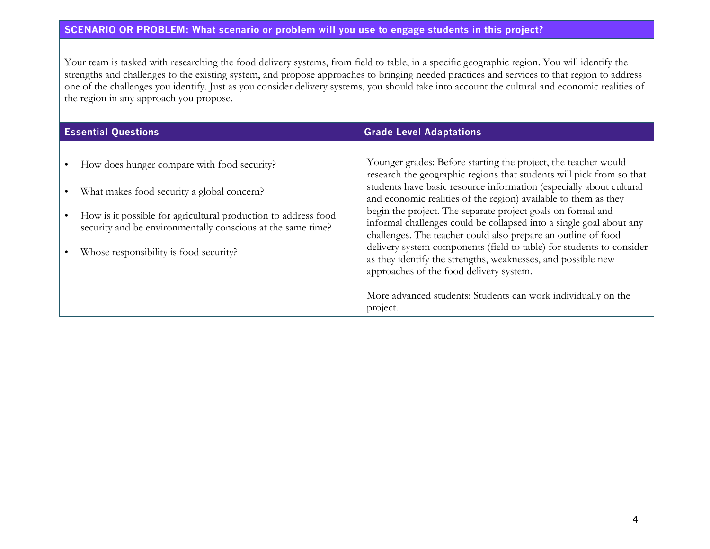#### **SCENARIO OR PROBLEM: What scenario or problem will you use to engage students in this project?**

Your team is tasked with researching the food delivery systems, from field to table, in a specific geographic region. You will identify the strengths and challenges to the existing system, and propose approaches to bringing needed practices and services to that region to address one of the challenges you identify. Just as you consider delivery systems, you should take into account the cultural and economic realities of the region in any approach you propose.

| <b>Essential Questions</b>                                                                                                                                                                                                                                           | <b>Grade Level Adaptations</b>                                                                                                                                                                                                                                                                                                                                                                                                                                                                                                                                                                                                                                                                                                                          |  |  |
|----------------------------------------------------------------------------------------------------------------------------------------------------------------------------------------------------------------------------------------------------------------------|---------------------------------------------------------------------------------------------------------------------------------------------------------------------------------------------------------------------------------------------------------------------------------------------------------------------------------------------------------------------------------------------------------------------------------------------------------------------------------------------------------------------------------------------------------------------------------------------------------------------------------------------------------------------------------------------------------------------------------------------------------|--|--|
| How does hunger compare with food security?<br>What makes food security a global concern?<br>How is it possible for agricultural production to address food<br>security and be environmentally conscious at the same time?<br>Whose responsibility is food security? | Younger grades: Before starting the project, the teacher would<br>research the geographic regions that students will pick from so that<br>students have basic resource information (especially about cultural<br>and economic realities of the region) available to them as they<br>begin the project. The separate project goals on formal and<br>informal challenges could be collapsed into a single goal about any<br>challenges. The teacher could also prepare an outline of food<br>delivery system components (field to table) for students to consider<br>as they identify the strengths, weaknesses, and possible new<br>approaches of the food delivery system.<br>More advanced students: Students can work individually on the<br>project. |  |  |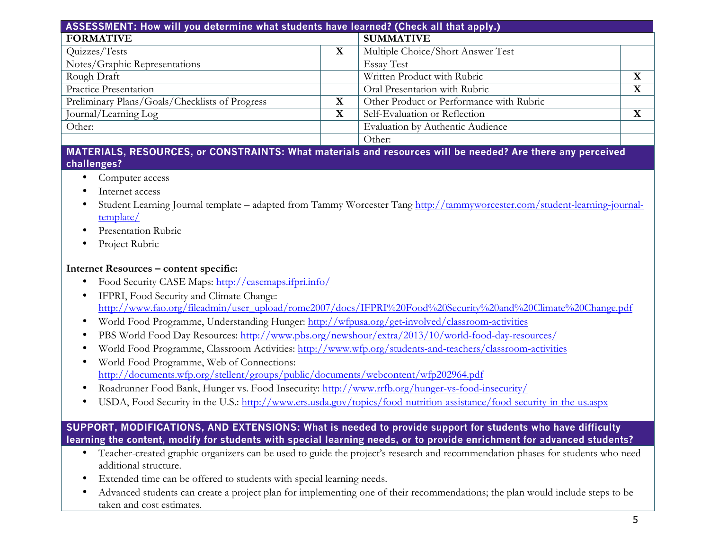| ASSESSMENT: How will you determine what students have learned? (Check all that apply.) |             |                                          |             |
|----------------------------------------------------------------------------------------|-------------|------------------------------------------|-------------|
| <b>FORMATIVE</b>                                                                       |             | <b>SUMMATIVE</b>                         |             |
| Quizzes/Tests                                                                          | X           | Multiple Choice/Short Answer Test        |             |
| Notes/Graphic Representations                                                          |             | <b>Essay Test</b>                        |             |
| Rough Draft                                                                            |             | Written Product with Rubric              | $\mathbf X$ |
| Practice Presentation                                                                  |             | Oral Presentation with Rubric            | X           |
| Preliminary Plans/Goals/Checklists of Progress                                         | $\bf X$     | Other Product or Performance with Rubric |             |
| Journal/Learning Log                                                                   | $\mathbf X$ | Self-Evaluation or Reflection            | X           |
| Other:                                                                                 |             | Evaluation by Authentic Audience         |             |
|                                                                                        |             | Other:                                   |             |

### **MATERIALS, RESOURCES, or CONSTRAINTS: What materials and resources will be needed? Are there any perceived challenges?**

- Computer access
- Internet access
- Student Learning Journal template adapted from Tammy Worcester Tang http://tammyworcester.com/student-learning-journaltemplate/
- Presentation Rubric
- Project Rubric

## **Internet Resources – content specific:**

- Food Security CASE Maps: http://casemaps.ifpri.info/
- IFPRI, Food Security and Climate Change: http://www.fao.org/fileadmin/user\_upload/rome2007/docs/IFPRI%20Food%20Security%20and%20Climate%20Change.pdf
- World Food Programme, Understanding Hunger: http://wfpusa.org/get-involved/classroom-activities
- PBS World Food Day Resources: http://www.pbs.org/newshour/extra/2013/10/world-food-day-resources/
- World Food Programme, Classroom Activities: http://www.wfp.org/students-and-teachers/classroom-activities
- World Food Programme, Web of Connections: http://documents.wfp.org/stellent/groups/public/documents/webcontent/wfp202964.pdf
- Roadrunner Food Bank, Hunger vs. Food Insecurity: http://www.rrfb.org/hunger-vs-food-insecurity/
- USDA, Food Security in the U.S.: http://www.ers.usda.gov/topics/food-nutrition-assistance/food-security-in-the-us.aspx

# **SUPPORT, MODIFICATIONS, AND EXTENSIONS: What is needed to provide support for students who have difficulty learning the content, modify for students with special learning needs, or to provide enrichment for advanced students?**

- Teacher-created graphic organizers can be used to guide the project's research and recommendation phases for students who need additional structure.
- Extended time can be offered to students with special learning needs.
- Advanced students can create a project plan for implementing one of their recommendations; the plan would include steps to be taken and cost estimates.